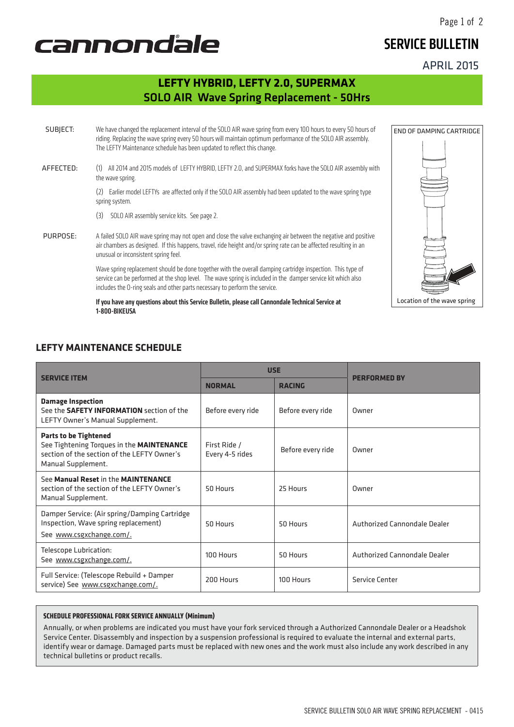### APRIL 2015

Page 1 of 2

# cannondale

### **LEFTY HYBRID, LEFTY 2.0, SUPERMAX** SOLO AIR Wave Spring Replacement - 50Hrs

SUBJECT: We have changed the replacement interval of the SOLO AIR wave spring from every 100 hours to every 50 hours of riding. Replacing the wave spring every 50 hours will maintain optimum performance of the SOLO AIR assembly. The LEFTY Maintenance schedule has been updated to reflect this change. AFFECTED: (1) All 2014 and 2015 models of LEFTY HYBRID, LEFTY 2.0, and SUPERMAX forks have the SOLO AIR assembly with the wave spring. (2) Earlier model LEFTYs are affected only if the SOLO AIR assembly had been updated to the wave spring type spring system. (3) SOLO AIR assembly service kits. See page 2. PURPOSE: A failed SOLO AIR wave spring may not open and close the valve exchanging air between the negative and positive air chambers as designed. If this happens, travel, ride height and/or spring rate can be affected resulting in an unusual or inconsistent spring feel.

Wave spring replacement should be done together with the overall damping cartridge inspection. This type of service can be performed at the shop level. The wave spring is included in the damper service kit which also includes the O-ring seals and other parts necessary to perform the service.

If you have any questions about this Service Bulletin, please call Cannondale Technical Service at 1-800-BIKEUSA

### **LEFTY MAINTENANCE SCHEDULE**

|                                                                                                                                                | <b>USE</b>                      |                   |                              |
|------------------------------------------------------------------------------------------------------------------------------------------------|---------------------------------|-------------------|------------------------------|
| <b>SERVICE ITEM</b>                                                                                                                            | <b>NORMAL</b>                   | <b>RACING</b>     | <b>PERFORMED BY</b>          |
| <b>Damage Inspection</b><br>See the <b>SAFETY INFORMATION</b> section of the<br>LEFTY Owner's Manual Supplement.                               | Before every ride               | Before every ride | Owner                        |
| <b>Parts to be Tightened</b><br>See Tightening Torques in the MAINTENANCE<br>section of the section of the LEFTY Owner's<br>Manual Supplement. | First Ride /<br>Every 4-5 rides | Before every ride | Owner                        |
| See Manual Reset in the MAINTENANCE<br>section of the section of the LEFTY Owner's<br>Manual Supplement.                                       | 50 Hours                        | 25 Hours          | Owner                        |
| Damper Service: (Air spring/Damping Cartridge<br>Inspection, Wave spring replacement)<br>See www.csgxchange.com/.                              | 50 Hours                        | 50 Hours          | Authorized Cannondale Dealer |
| Telescope Lubrication:<br>See www.csgxchange.com/.                                                                                             | 100 Hours                       | 50 Hours          | Authorized Cannondale Dealer |
| Full Service: (Telescope Rebuild + Damper<br>service) See www.csgxchange.com/.                                                                 | 200 Hours                       | 100 Hours         | Service Center               |

#### **SCHEDULE PROFESSIONAL FORK SERVICE ANNUALLY (Minimum)**

Annually, or when problems are indicated you must have your fork serviced through a Authorized Cannondale Dealer or a Headshok Service Center. Disassembly and inspection by a suspension professional is required to evaluate the internal and external parts, identify wear or damage. Damaged parts must be replaced with new ones and the work must also include any work described in any technical bulletins or product recalls.



## SERVICE BULLETIN